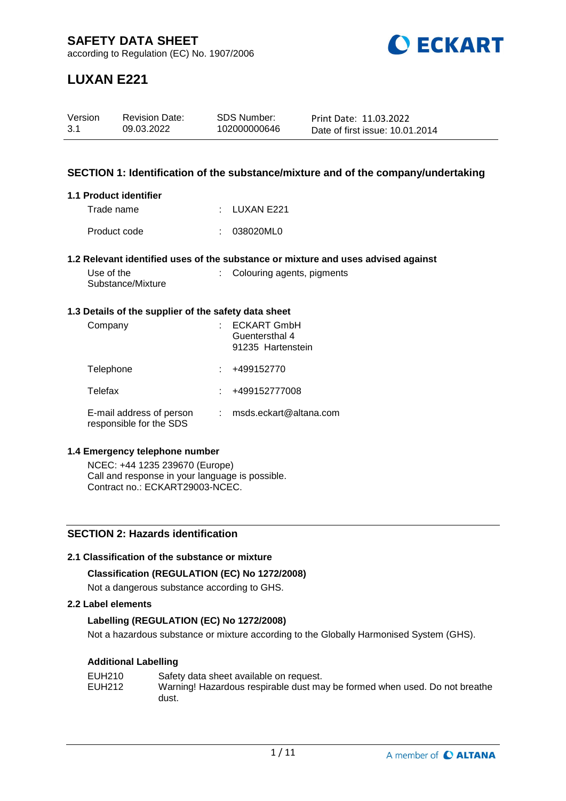

# **LUXAN E221**

| Version | <b>Revision Date:</b> | SDS Number:  | Print Date: 11.03.2022          |
|---------|-----------------------|--------------|---------------------------------|
| 3.1     | 09.03.2022            | 102000000646 | Date of first issue: 10.01.2014 |

### **SECTION 1: Identification of the substance/mixture and of the company/undertaking**

#### **1.1 Product identifier**

| Trade name   | $\pm$ LUXAN E221 |
|--------------|------------------|
| Product code | : 038020ML0      |

#### **1.2 Relevant identified uses of the substance or mixture and uses advised against**

| Use of the        |  |
|-------------------|--|
| Substance/Mixture |  |

: Colouring agents, pigments

#### **1.3 Details of the supplier of the safety data sheet**

| Company                                             | <b>ECKART GmbH</b><br>Guentersthal 4<br>91235 Hartenstein |
|-----------------------------------------------------|-----------------------------------------------------------|
| Telephone                                           | +499152770                                                |
| Telefax                                             | +499152777008                                             |
| E-mail address of person<br>responsible for the SDS | msds.eckart@altana.com                                    |

#### **1.4 Emergency telephone number**

NCEC: +44 1235 239670 (Europe) Call and response in your language is possible. Contract no.: ECKART29003-NCEC.

## **SECTION 2: Hazards identification**

#### **2.1 Classification of the substance or mixture**

## **Classification (REGULATION (EC) No 1272/2008)**

Not a dangerous substance according to GHS.

#### **2.2 Label elements**

## **Labelling (REGULATION (EC) No 1272/2008)**

Not a hazardous substance or mixture according to the Globally Harmonised System (GHS).

## **Additional Labelling**

| EUH210 | Safety data sheet available on request.                                    |
|--------|----------------------------------------------------------------------------|
| EUH212 | Warning! Hazardous respirable dust may be formed when used. Do not breathe |
|        | dust.                                                                      |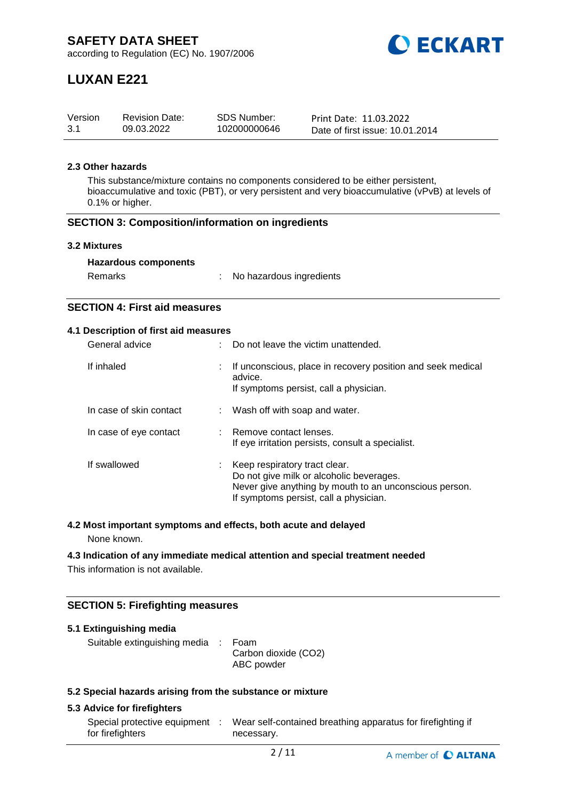

# **LUXAN E221**

| Version | <b>Revision Date:</b> | <b>SDS Number:</b> | Print Date: 11.03.2022          |
|---------|-----------------------|--------------------|---------------------------------|
| 3.1     | 09.03.2022            | 102000000646       | Date of first issue: 10.01.2014 |

## **2.3 Other hazards**

This substance/mixture contains no components considered to be either persistent, bioaccumulative and toxic (PBT), or very persistent and very bioaccumulative (vPvB) at levels of 0.1% or higher.

#### **SECTION 3: Composition/information on ingredients**

#### **3.2 Mixtures**

| Remarks | No hazardous ingredients |
|---------|--------------------------|
|---------|--------------------------|

## **SECTION 4: First aid measures**

#### **4.1 Description of first aid measures**

| General advice          |    | Do not leave the victim unattended.                                                                                                                                           |
|-------------------------|----|-------------------------------------------------------------------------------------------------------------------------------------------------------------------------------|
| If inhaled              | ÷. | If unconscious, place in recovery position and seek medical<br>advice.<br>If symptoms persist, call a physician.                                                              |
| In case of skin contact |    | : Wash off with soap and water.                                                                                                                                               |
| In case of eye contact  |    | : Remove contact lenses.<br>If eye irritation persists, consult a specialist.                                                                                                 |
| If swallowed            |    | Keep respiratory tract clear.<br>Do not give milk or alcoholic beverages.<br>Never give anything by mouth to an unconscious person.<br>If symptoms persist, call a physician. |

## **4.2 Most important symptoms and effects, both acute and delayed**

None known.

#### **4.3 Indication of any immediate medical attention and special treatment needed**

This information is not available.

## **SECTION 5: Firefighting measures**

| 5.1 Extinguishing media                                   |  |                                    |  |  |  |  |
|-----------------------------------------------------------|--|------------------------------------|--|--|--|--|
| Suitable extinguishing media : Foam                       |  | Carbon dioxide (CO2)<br>ABC powder |  |  |  |  |
| 5.3 Special hazarde aricing from the substance or mixture |  |                                    |  |  |  |  |

## **5.2 Special hazards arising from the substance or mixture**

## **5.3 Advice for firefighters**

| Special protective equipment | Wear self-contained breathing apparatus for firefighting if |
|------------------------------|-------------------------------------------------------------|
| for firefighters             | necessary.                                                  |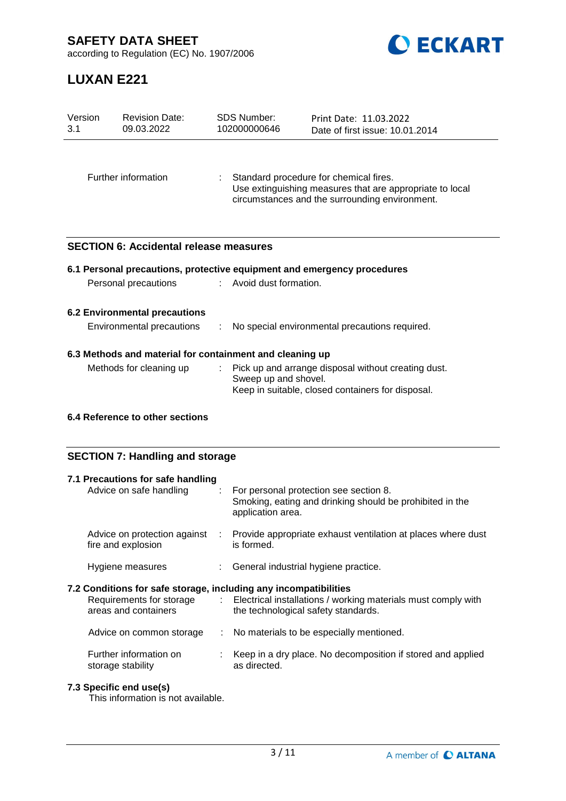**SAFETY DATA SHEET**



according to Regulation (EC) No. 1907/2006

# **LUXAN E221**

| Version<br>3.1                                           | <b>Revision Date:</b><br>09.03.2022           |  | <b>SDS Number:</b><br>102000000646 | Print Date: 11.03.2022<br>Date of first issue: 10.01.2014                                                                                            |  |
|----------------------------------------------------------|-----------------------------------------------|--|------------------------------------|------------------------------------------------------------------------------------------------------------------------------------------------------|--|
|                                                          | Further information                           |  |                                    | Standard procedure for chemical fires.<br>Use extinguishing measures that are appropriate to local<br>circumstances and the surrounding environment. |  |
|                                                          | <b>SECTION 6: Accidental release measures</b> |  |                                    |                                                                                                                                                      |  |
|                                                          |                                               |  |                                    | 6.1 Personal precautions, protective equipment and emergency procedures                                                                              |  |
|                                                          | Personal precautions                          |  | : Avoid dust formation.            |                                                                                                                                                      |  |
|                                                          | <b>6.2 Environmental precautions</b>          |  |                                    |                                                                                                                                                      |  |
|                                                          | Environmental precautions                     |  |                                    | No special environmental precautions required.                                                                                                       |  |
| 6.3 Methods and material for containment and cleaning up |                                               |  |                                    |                                                                                                                                                      |  |
|                                                          | Methods for cleaning up                       |  | Sweep up and shovel.               | Pick up and arrange disposal without creating dust.<br>Keep in suitable, closed containers for disposal.                                             |  |
| 6.4 Reference to other sections                          |                                               |  |                                    |                                                                                                                                                      |  |

## **SECTION 7: Handling and storage**

| 7.1 Precautions for safe handling<br>Advice on safe handling                                                         | For personal protection see section 8.<br>Smoking, eating and drinking should be prohibited in the<br>application area. |
|----------------------------------------------------------------------------------------------------------------------|-------------------------------------------------------------------------------------------------------------------------|
| Advice on protection against<br>÷.<br>fire and explosion                                                             | Provide appropriate exhaust ventilation at places where dust<br>is formed.                                              |
| Hygiene measures                                                                                                     | : General industrial hygiene practice.                                                                                  |
| 7.2 Conditions for safe storage, including any incompatibilities<br>Requirements for storage<br>areas and containers | : Electrical installations / working materials must comply with<br>the technological safety standards.                  |
| Advice on common storage                                                                                             | : No materials to be especially mentioned.                                                                              |
| Further information on<br>storage stability                                                                          | Keep in a dry place. No decomposition if stored and applied<br>as directed.                                             |

## **7.3 Specific end use(s)**

This information is not available.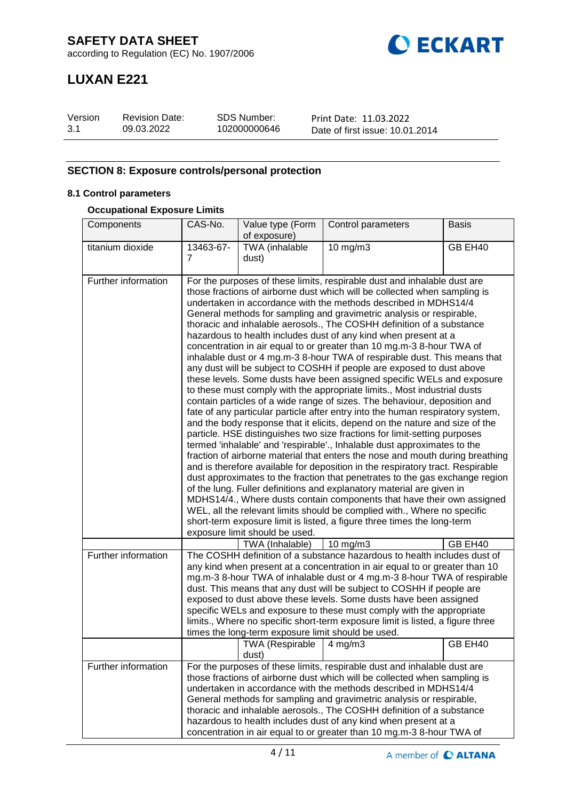

## **LUXAN E221**

| Version | <b>Revision Date:</b> | SDS Number:  | Print Date: 11.03.2022          |
|---------|-----------------------|--------------|---------------------------------|
| 3.1     | 09.03.2022            | 102000000646 | Date of first issue: 10.01.2014 |

## **SECTION 8: Exposure controls/personal protection**

## **8.1 Control parameters**

#### **Occupational Exposure Limits**

| Components          | CAS-No.        | Value type (Form                                                                                                                                                                                                                                                                                                                                                                                                                                                                                                                                                                                                                                                                                                                                                                                                                                                                                                                                                                                                                                                                                                                                                                                                                                                                                                                                                                                                                                                                                                                                                                                                                                                                                                                                                                                                                        | Control parameters                                                                                                                                                                                                                                                                                                                                                                                                                                                                                                                          | <b>Basis</b> |  |
|---------------------|----------------|-----------------------------------------------------------------------------------------------------------------------------------------------------------------------------------------------------------------------------------------------------------------------------------------------------------------------------------------------------------------------------------------------------------------------------------------------------------------------------------------------------------------------------------------------------------------------------------------------------------------------------------------------------------------------------------------------------------------------------------------------------------------------------------------------------------------------------------------------------------------------------------------------------------------------------------------------------------------------------------------------------------------------------------------------------------------------------------------------------------------------------------------------------------------------------------------------------------------------------------------------------------------------------------------------------------------------------------------------------------------------------------------------------------------------------------------------------------------------------------------------------------------------------------------------------------------------------------------------------------------------------------------------------------------------------------------------------------------------------------------------------------------------------------------------------------------------------------------|---------------------------------------------------------------------------------------------------------------------------------------------------------------------------------------------------------------------------------------------------------------------------------------------------------------------------------------------------------------------------------------------------------------------------------------------------------------------------------------------------------------------------------------------|--------------|--|
|                     |                | of exposure)                                                                                                                                                                                                                                                                                                                                                                                                                                                                                                                                                                                                                                                                                                                                                                                                                                                                                                                                                                                                                                                                                                                                                                                                                                                                                                                                                                                                                                                                                                                                                                                                                                                                                                                                                                                                                            |                                                                                                                                                                                                                                                                                                                                                                                                                                                                                                                                             |              |  |
| titanium dioxide    | 13463-67-<br>7 | TWA (inhalable                                                                                                                                                                                                                                                                                                                                                                                                                                                                                                                                                                                                                                                                                                                                                                                                                                                                                                                                                                                                                                                                                                                                                                                                                                                                                                                                                                                                                                                                                                                                                                                                                                                                                                                                                                                                                          | $10$ mg/m $3$                                                                                                                                                                                                                                                                                                                                                                                                                                                                                                                               | GB EH40      |  |
|                     |                | dust)                                                                                                                                                                                                                                                                                                                                                                                                                                                                                                                                                                                                                                                                                                                                                                                                                                                                                                                                                                                                                                                                                                                                                                                                                                                                                                                                                                                                                                                                                                                                                                                                                                                                                                                                                                                                                                   |                                                                                                                                                                                                                                                                                                                                                                                                                                                                                                                                             |              |  |
| Further information |                | For the purposes of these limits, respirable dust and inhalable dust are<br>those fractions of airborne dust which will be collected when sampling is<br>undertaken in accordance with the methods described in MDHS14/4<br>General methods for sampling and gravimetric analysis or respirable,<br>thoracic and inhalable aerosols., The COSHH definition of a substance<br>hazardous to health includes dust of any kind when present at a<br>concentration in air equal to or greater than 10 mg.m-3 8-hour TWA of<br>inhalable dust or 4 mg.m-3 8-hour TWA of respirable dust. This means that<br>any dust will be subject to COSHH if people are exposed to dust above<br>these levels. Some dusts have been assigned specific WELs and exposure<br>to these must comply with the appropriate limits., Most industrial dusts<br>contain particles of a wide range of sizes. The behaviour, deposition and<br>fate of any particular particle after entry into the human respiratory system,<br>and the body response that it elicits, depend on the nature and size of the<br>particle. HSE distinguishes two size fractions for limit-setting purposes<br>termed 'inhalable' and 'respirable'., Inhalable dust approximates to the<br>fraction of airborne material that enters the nose and mouth during breathing<br>and is therefore available for deposition in the respiratory tract. Respirable<br>dust approximates to the fraction that penetrates to the gas exchange region<br>of the lung. Fuller definitions and explanatory material are given in<br>MDHS14/4., Where dusts contain components that have their own assigned<br>WEL, all the relevant limits should be complied with., Where no specific<br>short-term exposure limit is listed, a figure three times the long-term<br>exposure limit should be used. |                                                                                                                                                                                                                                                                                                                                                                                                                                                                                                                                             |              |  |
|                     |                | TWA (Inhalable)                                                                                                                                                                                                                                                                                                                                                                                                                                                                                                                                                                                                                                                                                                                                                                                                                                                                                                                                                                                                                                                                                                                                                                                                                                                                                                                                                                                                                                                                                                                                                                                                                                                                                                                                                                                                                         | 10 mg/m3                                                                                                                                                                                                                                                                                                                                                                                                                                                                                                                                    | GB EH40      |  |
| Further information |                | times the long-term exposure limit should be used.                                                                                                                                                                                                                                                                                                                                                                                                                                                                                                                                                                                                                                                                                                                                                                                                                                                                                                                                                                                                                                                                                                                                                                                                                                                                                                                                                                                                                                                                                                                                                                                                                                                                                                                                                                                      | The COSHH definition of a substance hazardous to health includes dust of<br>any kind when present at a concentration in air equal to or greater than 10<br>mg.m-3 8-hour TWA of inhalable dust or 4 mg.m-3 8-hour TWA of respirable<br>dust. This means that any dust will be subject to COSHH if people are<br>exposed to dust above these levels. Some dusts have been assigned<br>specific WELs and exposure to these must comply with the appropriate<br>limits., Where no specific short-term exposure limit is listed, a figure three |              |  |
|                     |                | TWA (Respirable<br>dust)                                                                                                                                                                                                                                                                                                                                                                                                                                                                                                                                                                                                                                                                                                                                                                                                                                                                                                                                                                                                                                                                                                                                                                                                                                                                                                                                                                                                                                                                                                                                                                                                                                                                                                                                                                                                                | $4 \,\mathrm{mg/m3}$                                                                                                                                                                                                                                                                                                                                                                                                                                                                                                                        | GB EH40      |  |
| Further information |                |                                                                                                                                                                                                                                                                                                                                                                                                                                                                                                                                                                                                                                                                                                                                                                                                                                                                                                                                                                                                                                                                                                                                                                                                                                                                                                                                                                                                                                                                                                                                                                                                                                                                                                                                                                                                                                         | For the purposes of these limits, respirable dust and inhalable dust are<br>those fractions of airborne dust which will be collected when sampling is<br>undertaken in accordance with the methods described in MDHS14/4<br>General methods for sampling and gravimetric analysis or respirable,<br>thoracic and inhalable aerosols., The COSHH definition of a substance<br>hazardous to health includes dust of any kind when present at a<br>concentration in air equal to or greater than 10 mg.m-3 8-hour TWA of                       |              |  |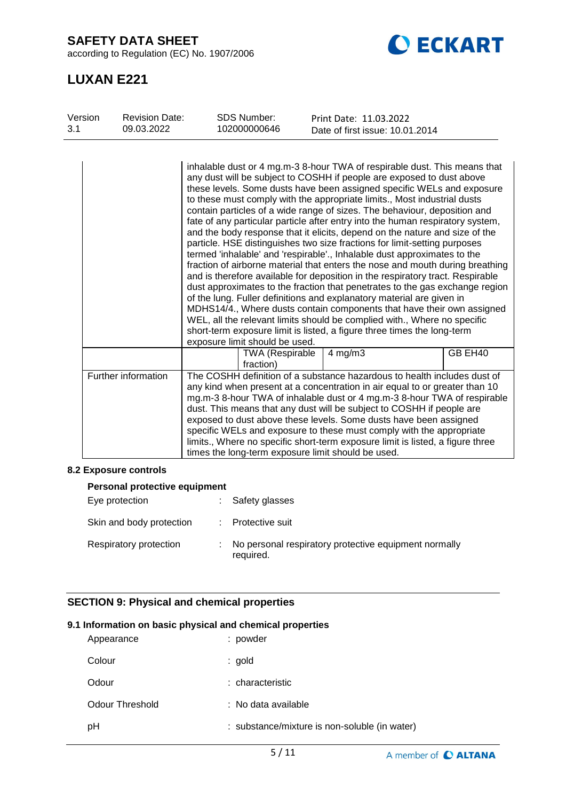**SAFETY DATA SHEET**

according to Regulation (EC) No. 1907/2006



## **LUXAN E221**

| Version | <b>Revision Date:</b> | <b>SDS Number:</b>                  | Print Date: 11.03.2022                                                                                                                                                                                                                                                                                                                                                                                                                                                                                                                                                                                                                                                                                                                                                                                                                                                                                                                                                                                                                                                                                                                                                                                                                                                       |
|---------|-----------------------|-------------------------------------|------------------------------------------------------------------------------------------------------------------------------------------------------------------------------------------------------------------------------------------------------------------------------------------------------------------------------------------------------------------------------------------------------------------------------------------------------------------------------------------------------------------------------------------------------------------------------------------------------------------------------------------------------------------------------------------------------------------------------------------------------------------------------------------------------------------------------------------------------------------------------------------------------------------------------------------------------------------------------------------------------------------------------------------------------------------------------------------------------------------------------------------------------------------------------------------------------------------------------------------------------------------------------|
| 3.1     | 09.03.2022            | 102000000646                        | Date of first issue: 10.01.2014                                                                                                                                                                                                                                                                                                                                                                                                                                                                                                                                                                                                                                                                                                                                                                                                                                                                                                                                                                                                                                                                                                                                                                                                                                              |
|         |                       | exposure limit should be used.      | inhalable dust or 4 mg.m-3 8-hour TWA of respirable dust. This means that<br>any dust will be subject to COSHH if people are exposed to dust above<br>these levels. Some dusts have been assigned specific WELs and exposure<br>to these must comply with the appropriate limits., Most industrial dusts<br>contain particles of a wide range of sizes. The behaviour, deposition and<br>fate of any particular particle after entry into the human respiratory system,<br>and the body response that it elicits, depend on the nature and size of the<br>particle. HSE distinguishes two size fractions for limit-setting purposes<br>termed 'inhalable' and 'respirable'., Inhalable dust approximates to the<br>fraction of airborne material that enters the nose and mouth during breathing<br>and is therefore available for deposition in the respiratory tract. Respirable<br>dust approximates to the fraction that penetrates to the gas exchange region<br>of the lung. Fuller definitions and explanatory material are given in<br>MDHS14/4., Where dusts contain components that have their own assigned<br>WEL, all the relevant limits should be complied with., Where no specific<br>short-term exposure limit is listed, a figure three times the long-term |
|         |                       | <b>TWA (Respirable</b><br>fraction) | GB EH40<br>$4$ mg/m $3$                                                                                                                                                                                                                                                                                                                                                                                                                                                                                                                                                                                                                                                                                                                                                                                                                                                                                                                                                                                                                                                                                                                                                                                                                                                      |
|         | Further information   |                                     | The COSHH definition of a substance hazardous to health includes dust of<br>any kind when present at a concentration in air equal to or greater than 10<br>mg.m-3 8-hour TWA of inhalable dust or 4 mg.m-3 8-hour TWA of respirable<br>dust. This means that any dust will be subject to COSHH if people are<br>exposed to dust above these levels. Some dusts have been assigned<br>specific WELs and exposure to these must comply with the appropriate<br>limits., Where no specific short-term exposure limit is listed, a figure three<br>times the long-term exposure limit should be used.                                                                                                                                                                                                                                                                                                                                                                                                                                                                                                                                                                                                                                                                            |

#### **8.2 Exposure controls**

| Personal protective equipment |  |                                                                    |  |  |
|-------------------------------|--|--------------------------------------------------------------------|--|--|
| Eye protection                |  | Safety glasses                                                     |  |  |
| Skin and body protection      |  | Protective suit                                                    |  |  |
| Respiratory protection        |  | No personal respiratory protective equipment normally<br>required. |  |  |

## **SECTION 9: Physical and chemical properties**

## **9.1 Information on basic physical and chemical properties**

| Appearance             | : powder                                      |
|------------------------|-----------------------------------------------|
| Colour                 | : gold                                        |
| Odour                  | : characteristic                              |
| <b>Odour Threshold</b> | : No data available                           |
| рH                     | : substance/mixture is non-soluble (in water) |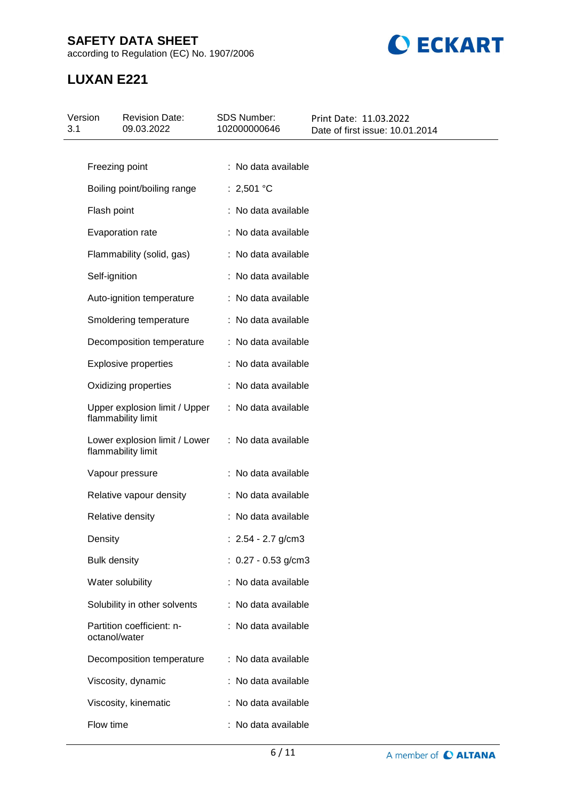## **SAFETY DATA SHEET**

according to Regulation (EC) No. 1907/2006



## **LUXAN E221**

| Version<br>3.1 | <b>Revision Date:</b><br>09.03.2022                 | SDS Number:<br>102000000646 | Print Date: 11.03.2022<br>Date of first issue: 10.01.2014 |
|----------------|-----------------------------------------------------|-----------------------------|-----------------------------------------------------------|
|                |                                                     |                             |                                                           |
|                | Freezing point                                      | : No data available         |                                                           |
|                | Boiling point/boiling range                         | : 2,501 °C                  |                                                           |
|                | Flash point                                         | : No data available         |                                                           |
|                | Evaporation rate                                    | : No data available         |                                                           |
|                | Flammability (solid, gas)                           | : No data available         |                                                           |
|                | Self-ignition                                       | : No data available         |                                                           |
|                | Auto-ignition temperature                           | : No data available         |                                                           |
|                | Smoldering temperature                              | : No data available         |                                                           |
|                | Decomposition temperature                           | : No data available         |                                                           |
|                | <b>Explosive properties</b>                         | : No data available         |                                                           |
|                | Oxidizing properties                                | : No data available         |                                                           |
|                | Upper explosion limit / Upper<br>flammability limit | : No data available         |                                                           |
|                | Lower explosion limit / Lower<br>flammability limit | : No data available         |                                                           |
|                | Vapour pressure                                     | : No data available         |                                                           |
|                | Relative vapour density                             | : No data available         |                                                           |
|                | Relative density                                    | : No data available         |                                                           |
|                | Density                                             | : $2.54 - 2.7$ g/cm3        |                                                           |
|                | <b>Bulk density</b>                                 | : $0.27 - 0.53$ g/cm3       |                                                           |
|                | Water solubility                                    | : No data available         |                                                           |
|                | Solubility in other solvents                        | : No data available         |                                                           |
|                | Partition coefficient: n-<br>octanol/water          | : No data available         |                                                           |
|                | Decomposition temperature                           | : No data available         |                                                           |
|                | Viscosity, dynamic                                  | : No data available         |                                                           |
|                | Viscosity, kinematic                                | : No data available         |                                                           |
|                | Flow time                                           | : No data available         |                                                           |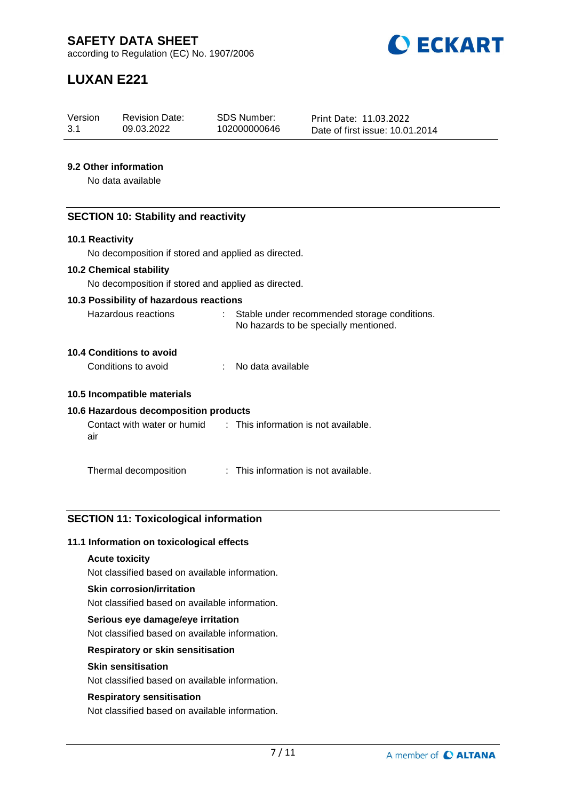

# **LUXAN E221**

| Version | <b>Revision Date:</b> | SDS Number:  | Print Date: 11.03.2022          |
|---------|-----------------------|--------------|---------------------------------|
| 3.1     | 09.03.2022            | 102000000646 | Date of first issue: 10.01.2014 |

## **9.2 Other information**

No data available

#### **SECTION 10: Stability and reactivity**

#### **10.1 Reactivity**

No decomposition if stored and applied as directed.

#### **10.2 Chemical stability**

No decomposition if stored and applied as directed.

#### **10.3 Possibility of hazardous reactions**

| Hazardous reactions | Stable under recommended storage conditions. |
|---------------------|----------------------------------------------|
|                     | No hazards to be specially mentioned.        |

## **10.4 Conditions to avoid**

| Conditions to avoid | No data available |
|---------------------|-------------------|
|                     |                   |

#### **10.5 Incompatible materials**

## **10.6 Hazardous decomposition products**

| Contact with water or humid | : This information is not available. |
|-----------------------------|--------------------------------------|
| air                         |                                      |

Thermal decomposition : This information is not available.

## **SECTION 11: Toxicological information**

#### **11.1 Information on toxicological effects**

#### **Acute toxicity**

Not classified based on available information.

#### **Skin corrosion/irritation**

Not classified based on available information.

#### **Serious eye damage/eye irritation**

Not classified based on available information.

## **Respiratory or skin sensitisation**

#### **Skin sensitisation**

Not classified based on available information.

#### **Respiratory sensitisation**

Not classified based on available information.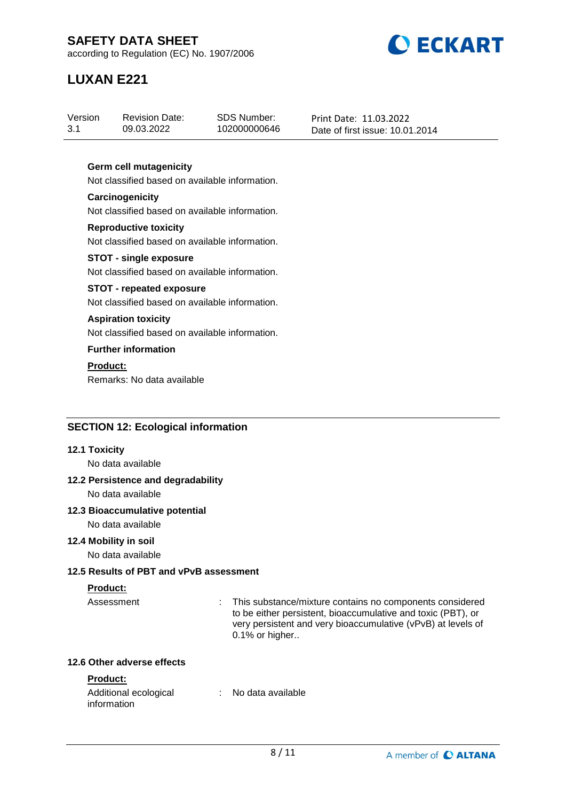

# **LUXAN E221**

| Version | <b>Revision Date:</b> | SDS Number:  | Print Date: 11.03.2022          |
|---------|-----------------------|--------------|---------------------------------|
| 3.1     | 09.03.2022            | 102000000646 | Date of first issue: 10.01.2014 |
|         |                       |              |                                 |

## **Germ cell mutagenicity**

Not classified based on available information.

#### **Carcinogenicity** Not classified based on available information.

**Reproductive toxicity** Not classified based on available information.

#### **STOT - single exposure** Not classified based on available information.

## **STOT - repeated exposure**

Not classified based on available information.

#### **Aspiration toxicity**

Not classified based on available information.

## **Further information**

**Product:**

Remarks: No data available

## **SECTION 12: Ecological information**

#### **12.1 Toxicity**

No data available

## **12.2 Persistence and degradability**

No data available

## **12.3 Bioaccumulative potential**

No data available

## **12.4 Mobility in soil**

No data available

## **12.5 Results of PBT and vPvB assessment**

## **Product:**

Assessment : This substance/mixture contains no components considered to be either persistent, bioaccumulative and toxic (PBT), or very persistent and very bioaccumulative (vPvB) at levels of 0.1% or higher..

### **12.6 Other adverse effects**

## **Product:**

| Additional ecological | No data available |  |
|-----------------------|-------------------|--|
| information           |                   |  |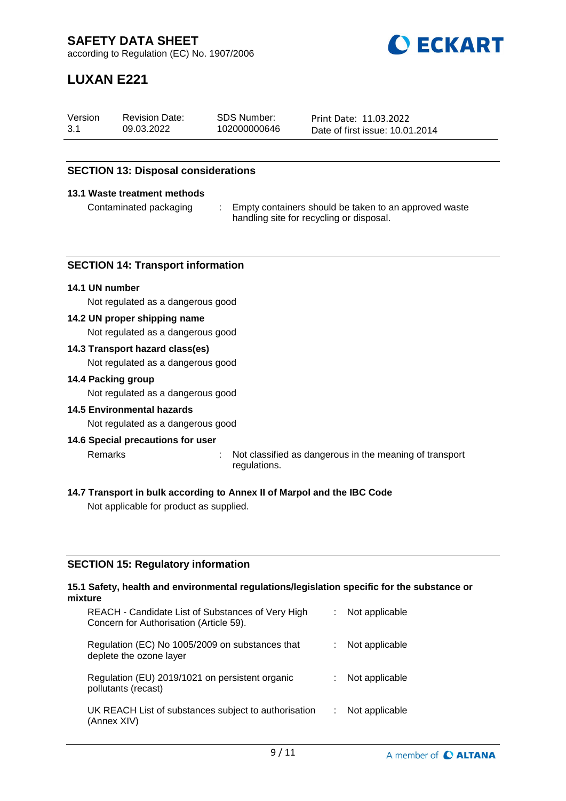

# **LUXAN E221**

| Version | <b>Revision Date:</b> | SDS Number:  | Print Date: 11.03.2022          |
|---------|-----------------------|--------------|---------------------------------|
| 3.1     | 09.03.2022            | 102000000646 | Date of first issue: 10.01.2014 |

## **SECTION 13: Disposal considerations**

#### **13.1 Waste treatment methods**

Contaminated packaging : Empty containers should be taken to an approved waste handling site for recycling or disposal.

#### **SECTION 14: Transport information**

#### **14.1 UN number**

Not regulated as a dangerous good

#### **14.2 UN proper shipping name**

Not regulated as a dangerous good

#### **14.3 Transport hazard class(es)**

Not regulated as a dangerous good

#### **14.4 Packing group**

Not regulated as a dangerous good

#### **14.5 Environmental hazards**

Not regulated as a dangerous good

#### **14.6 Special precautions for user**

Remarks : Not classified as dangerous in the meaning of transport

- regulations.
- **14.7 Transport in bulk according to Annex II of Marpol and the IBC Code**

Not applicable for product as supplied.

#### **SECTION 15: Regulatory information**

#### **15.1 Safety, health and environmental regulations/legislation specific for the substance or mixture**

| REACH - Candidate List of Substances of Very High<br>Concern for Authorisation (Article 59). | Not applicable |
|----------------------------------------------------------------------------------------------|----------------|
| Regulation (EC) No 1005/2009 on substances that<br>deplete the ozone layer                   | Not applicable |
| Regulation (EU) 2019/1021 on persistent organic<br>pollutants (recast)                       | Not applicable |
| UK REACH List of substances subject to authorisation<br>(Annex XIV)                          | Not applicable |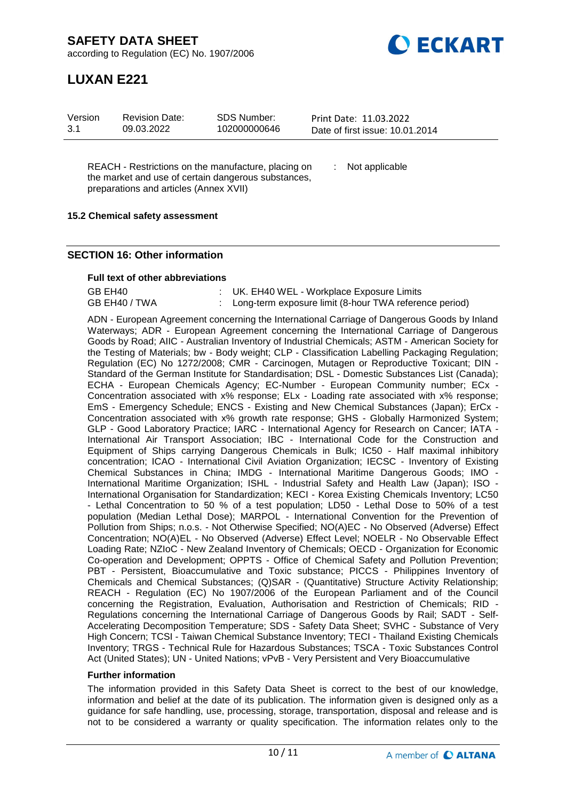**DECKART** 

according to Regulation (EC) No. 1907/2006

## **LUXAN E221**

| Version | <b>Revision Date:</b> | SDS Number:  | Print Date: 11.03.2022          |
|---------|-----------------------|--------------|---------------------------------|
| 3.1     | 09.03.2022            | 102000000646 | Date of first issue: 10.01.2014 |
|         |                       |              |                                 |

REACH - Restrictions on the manufacture, placing on the market and use of certain dangerous substances, preparations and articles (Annex XVII)

: Not applicable

#### **15.2 Chemical safety assessment**

#### **SECTION 16: Other information**

#### **Full text of other abbreviations**

| GB EH40       | : UK. EH40 WEL - Workplace Exposure Limits               |
|---------------|----------------------------------------------------------|
| GB EH40 / TWA | : Long-term exposure limit (8-hour TWA reference period) |

ADN - European Agreement concerning the International Carriage of Dangerous Goods by Inland Waterways; ADR - European Agreement concerning the International Carriage of Dangerous Goods by Road; AIIC - Australian Inventory of Industrial Chemicals; ASTM - American Society for the Testing of Materials; bw - Body weight; CLP - Classification Labelling Packaging Regulation; Regulation (EC) No 1272/2008; CMR - Carcinogen, Mutagen or Reproductive Toxicant; DIN - Standard of the German Institute for Standardisation; DSL - Domestic Substances List (Canada); ECHA - European Chemicals Agency; EC-Number - European Community number; ECx -Concentration associated with x% response; ELx - Loading rate associated with x% response; EmS - Emergency Schedule; ENCS - Existing and New Chemical Substances (Japan); ErCx - Concentration associated with x% growth rate response; GHS - Globally Harmonized System; GLP - Good Laboratory Practice; IARC - International Agency for Research on Cancer; IATA - International Air Transport Association; IBC - International Code for the Construction and Equipment of Ships carrying Dangerous Chemicals in Bulk; IC50 - Half maximal inhibitory concentration; ICAO - International Civil Aviation Organization; IECSC - Inventory of Existing Chemical Substances in China; IMDG - International Maritime Dangerous Goods; IMO - International Maritime Organization; ISHL - Industrial Safety and Health Law (Japan); ISO - International Organisation for Standardization; KECI - Korea Existing Chemicals Inventory; LC50 - Lethal Concentration to 50 % of a test population; LD50 - Lethal Dose to 50% of a test population (Median Lethal Dose); MARPOL - International Convention for the Prevention of Pollution from Ships; n.o.s. - Not Otherwise Specified; NO(A)EC - No Observed (Adverse) Effect Concentration; NO(A)EL - No Observed (Adverse) Effect Level; NOELR - No Observable Effect Loading Rate; NZIoC - New Zealand Inventory of Chemicals; OECD - Organization for Economic Co-operation and Development; OPPTS - Office of Chemical Safety and Pollution Prevention; PBT - Persistent, Bioaccumulative and Toxic substance; PICCS - Philippines Inventory of Chemicals and Chemical Substances; (Q)SAR - (Quantitative) Structure Activity Relationship; REACH - Regulation (EC) No 1907/2006 of the European Parliament and of the Council concerning the Registration, Evaluation, Authorisation and Restriction of Chemicals; RID - Regulations concerning the International Carriage of Dangerous Goods by Rail; SADT - Self-Accelerating Decomposition Temperature; SDS - Safety Data Sheet; SVHC - Substance of Very High Concern; TCSI - Taiwan Chemical Substance Inventory; TECI - Thailand Existing Chemicals Inventory; TRGS - Technical Rule for Hazardous Substances; TSCA - Toxic Substances Control Act (United States); UN - United Nations; vPvB - Very Persistent and Very Bioaccumulative

#### **Further information**

The information provided in this Safety Data Sheet is correct to the best of our knowledge, information and belief at the date of its publication. The information given is designed only as a guidance for safe handling, use, processing, storage, transportation, disposal and release and is not to be considered a warranty or quality specification. The information relates only to the